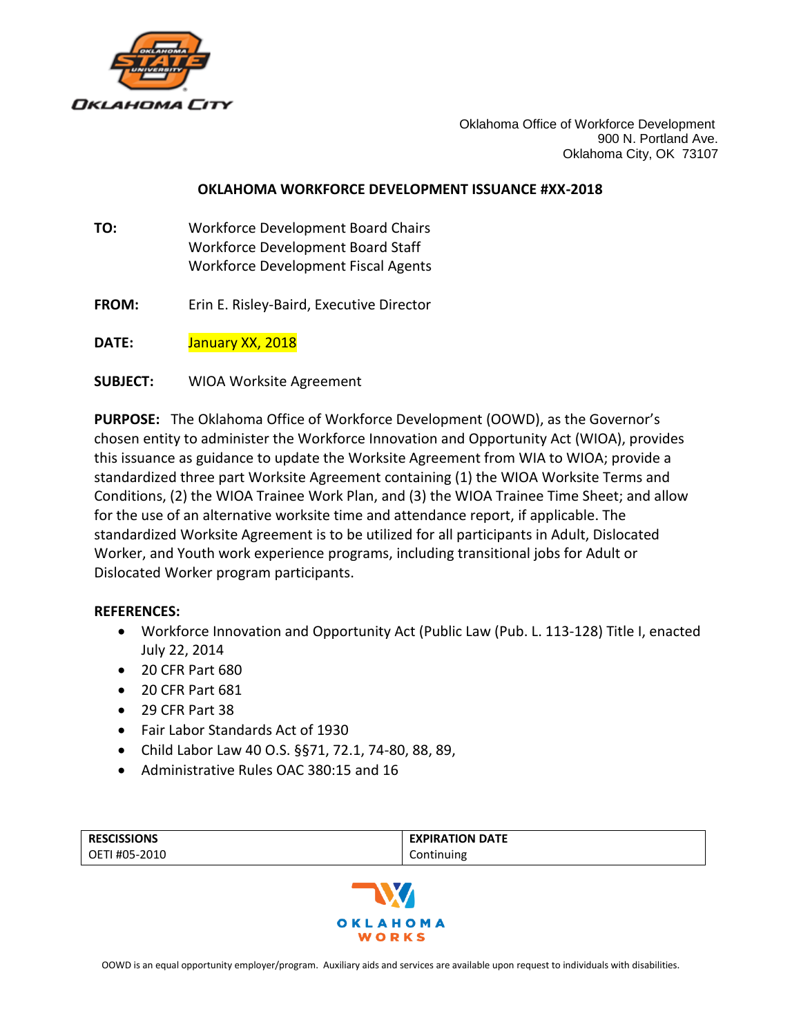

Oklahoma Office of Workforce Development 900 N. Portland Ave. Oklahoma City, OK 73107

#### **OKLAHOMA WORKFORCE DEVELOPMENT ISSUANCE #XX-2018**

- **TO:** Workforce Development Board Chairs Workforce Development Board Staff Workforce Development Fiscal Agents
- **FROM:** Erin E. Risley-Baird, Executive Director

**DATE:** January XX, 2018

**SUBJECT:** WIOA Worksite Agreement

**PURPOSE:** The Oklahoma Office of Workforce Development (OOWD), as the Governor's chosen entity to administer the Workforce Innovation and Opportunity Act (WIOA), provides this issuance as guidance to update the Worksite Agreement from WIA to WIOA; provide a standardized three part Worksite Agreement containing (1) the WIOA Worksite Terms and Conditions, (2) the WIOA Trainee Work Plan, and (3) the WIOA Trainee Time Sheet; and allow for the use of an alternative worksite time and attendance report, if applicable. The standardized Worksite Agreement is to be utilized for all participants in Adult, Dislocated Worker, and Youth work experience programs, including transitional jobs for Adult or Dislocated Worker program participants.

#### **REFERENCES:**

- Workforce Innovation and Opportunity Act (Public Law (Pub. L. 113-128) Title I, enacted July 22, 2014
- 20 CFR Part 680
- 20 CFR Part 681
- 29 CFR Part 38
- Fair Labor Standards Act of 1930
- Child Labor Law 40 O.S. §§71, 72.1, 74-80, 88, 89,
- Administrative Rules OAC 380:15 and 16

| <b>RESCISSIONS</b><br>OETI #05-2010 | <b>EXPIRATION DATE</b><br>Continuing |
|-------------------------------------|--------------------------------------|
| <b>NV</b>                           |                                      |
| OKLAHOMA<br><b>WORKS</b>            |                                      |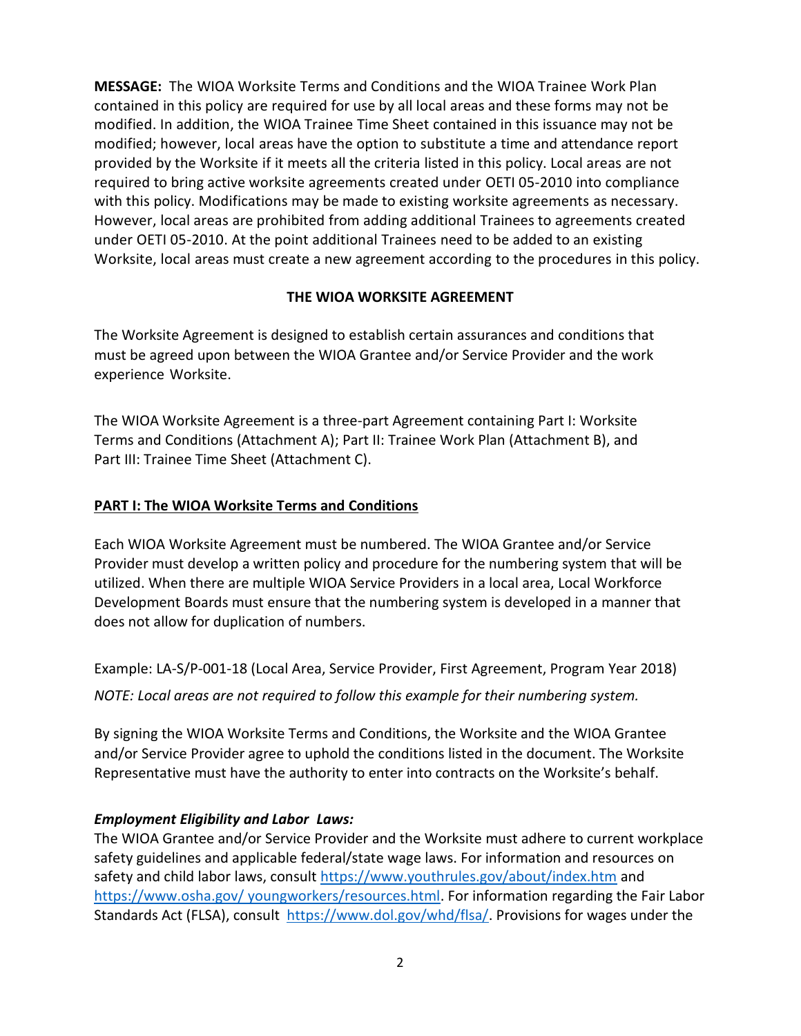**MESSAGE:** The WIOA Worksite Terms and Conditions and the WIOA Trainee Work Plan contained in this policy are required for use by all local areas and these forms may not be modified. In addition, the WIOA Trainee Time Sheet contained in this issuance may not be modified; however, local areas have the option to substitute a time and attendance report provided by the Worksite if it meets all the criteria listed in this policy. Local areas are not required to bring active worksite agreements created under OETI 05-2010 into compliance with this policy. Modifications may be made to existing worksite agreements as necessary. However, local areas are prohibited from adding additional Trainees to agreements created under OETI 05-2010. At the point additional Trainees need to be added to an existing Worksite, local areas must create a new agreement according to the procedures in this policy.

## **THE WIOA WORKSITE AGREEMENT**

The Worksite Agreement is designed to establish certain assurances and conditions that must be agreed upon between the WIOA Grantee and/or Service Provider and the work experience Worksite.

The WIOA Worksite Agreement is a three-part Agreement containing Part I: Worksite Terms and Conditions (Attachment A); Part II: Trainee Work Plan (Attachment B), and Part III: Trainee Time Sheet (Attachment C).

## **PART I: The WIOA Worksite Terms and Conditions**

Each WIOA Worksite Agreement must be numbered. The WIOA Grantee and/or Service Provider must develop a written policy and procedure for the numbering system that will be utilized. When there are multiple WIOA Service Providers in a local area, Local Workforce Development Boards must ensure that the numbering system is developed in a manner that does not allow for duplication of numbers.

Example: LA-S/P-001-18 (Local Area, Service Provider, First Agreement, Program Year 2018)

*NOTE: Local areas are not required to follow this example for their numbering system.*

By signing the WIOA Worksite Terms and Conditions, the Worksite and the WIOA Grantee and/or Service Provider agree to uphold the conditions listed in the document. The Worksite Representative must have the authority to enter into contracts on the Worksite's behalf.

# *Employment Eligibility and Labor Laws:*

The WIOA Grantee and/or Service Provider and the Worksite must adhere to current workplace safety guidelines and applicable federal/state wage laws. For information and resources on safety and child labor laws, consult<https://www.youthrules.gov/about/index.htm> and [https://www.osha.gov/ youngworkers/resources.html.](https://www.osha.gov/%20youngworkers/resources.html) For information regarding the Fair Labor Standards Act (FLSA), consult [https://www.dol.gov/whd/flsa/.](https://www.dol.gov/whd/flsa/) Provisions for wages under the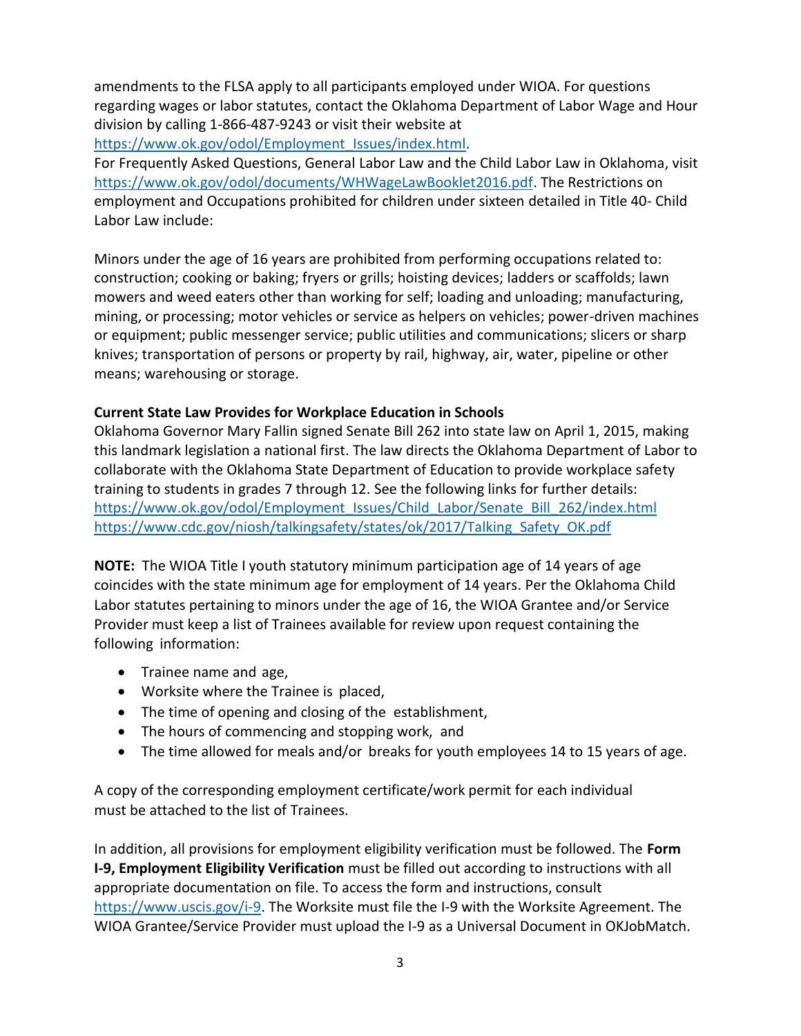amendments to the FLSA apply to all participants employed under WIOA. For questions regarding wages or labor statutes, contact the Oklahoma Department of Labor Wage and Hour division by calling 1-866-487-9243 or visit their website at

[https://www.ok.gov/odol/Employment\\_Issues/index.html.](https://www.ok.gov/odol/Employment_Issues/index.html)

For Frequently Asked Questions, General Labor Law and the Child Labor Law in Oklahoma, visit [https://www.ok.gov/odol/documents/WHWageLawBooklet2016.pdf.](https://www.ok.gov/odol/documents/WHWageLawBooklet2016.pdf) The Restrictions on employment and Occupations prohibited for children under sixteen detailed in Title 40- Child Labor Law include:

Minors under the age of 16 years are prohibited from performing occupations related to: construction; cooking or baking; fryers or grills; hoisting devices; ladders or scaffolds; lawn mowers and weed eaters other than working for self; loading and unloading; manufacturing, mining, or processing; motor vehicles or service as helpers on vehicles; power-driven machines or equipment; public messenger service; public utilities and communications; slicers or sharp knives; transportation of persons or property by rail, highway, air, water, pipeline or other means; warehousing or storage.

#### **Current State Law Provides for Workplace Education in Schools**

Oklahoma Governor Mary Fallin signed Senate Bill 262 into state law on April 1, 2015, making this landmark legislation a national first. The law directs the Oklahoma Department of Labor to collaborate with the Oklahoma State Department of Education to provide workplace safety training to students in grades 7 through 12. See the following links for further details: [https://www.ok.gov/odol/Employment\\_Issues/Child\\_Labor/Senate\\_Bill\\_262/index.html](https://www.ok.gov/odol/Employment_Issues/Child_Labor/Senate_Bill_262/index.html) [https://www.cdc.gov/niosh/talkingsafety/states/ok/2017/Talking\\_Safety\\_OK.pdf](https://www.cdc.gov/niosh/talkingsafety/states/ok/2017/Talking_Safety_OK.pdf)

**NOTE:** The WIOA Title I youth statutory minimum participation age of 14 years of age coincides with the state minimum age for employment of 14 years. Per the Oklahoma Child Labor statutes pertaining to minors under the age of 16, the WIOA Grantee and/or Service Provider must keep a list of Trainees available for review upon request containing the following information:

- Trainee name and age,
- Worksite where the Trainee is placed,
- The time of opening and closing of the establishment,
- The hours of commencing and stopping work, and
- The time allowed for meals and/or breaks for youth employees 14 to 15 years of age.

A copy of the corresponding employment certificate/work permit for each individual must be attached to the list of Trainees.

In addition, all provisions for employment eligibility verification must be followed. The **Form I-9, Employment Eligibility Verification** must be filled out according to instructions with all appropriate documentation on file. To access the form and instructions, consult [https://www.uscis.gov/i-9.](https://www.uscis.gov/i-9) The Worksite must file the I-9 with the Worksite Agreement. The WIOA Grantee/Service Provider must upload the I-9 as a Universal Document in OKJobMatch.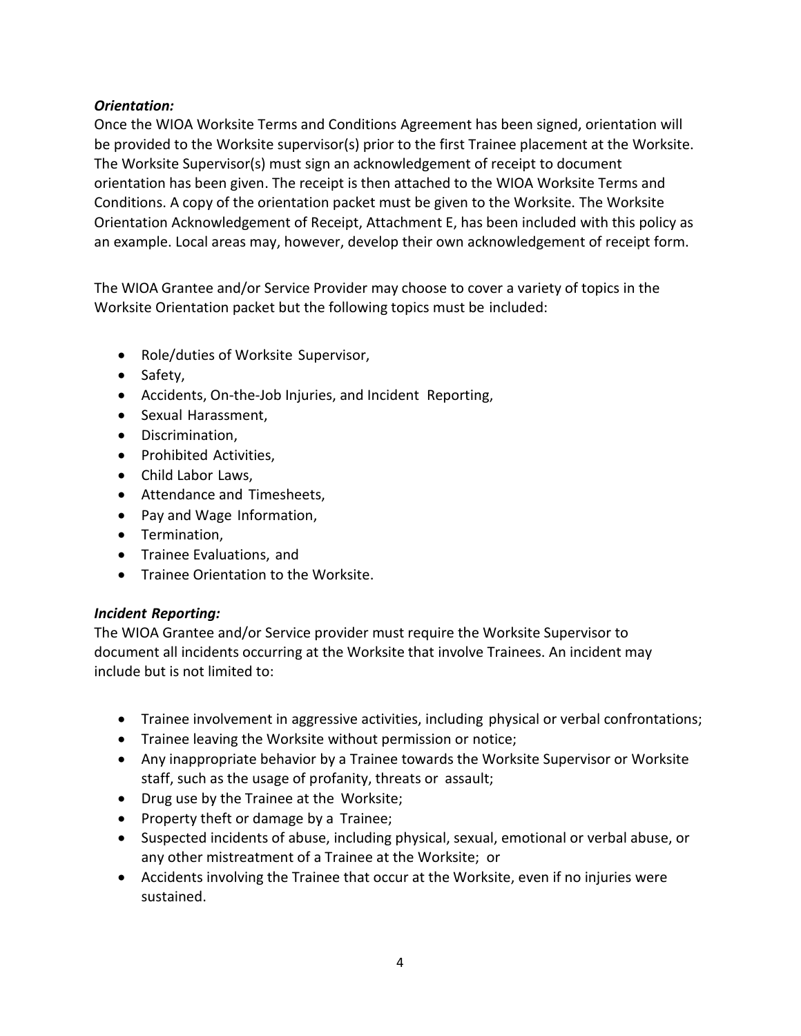## *Orientation:*

Once the WIOA Worksite Terms and Conditions Agreement has been signed, orientation will be provided to the Worksite supervisor(s) prior to the first Trainee placement at the Worksite. The Worksite Supervisor(s) must sign an acknowledgement of receipt to document orientation has been given. The receipt is then attached to the WIOA Worksite Terms and Conditions. A copy of the orientation packet must be given to the Worksite. The Worksite Orientation Acknowledgement of Receipt, Attachment E, has been included with this policy as an example. Local areas may, however, develop their own acknowledgement of receipt form.

The WIOA Grantee and/or Service Provider may choose to cover a variety of topics in the Worksite Orientation packet but the following topics must be included:

- Role/duties of Worksite Supervisor,
- Safety,
- Accidents, On-the-Job Injuries, and Incident Reporting,
- Sexual Harassment,
- Discrimination,
- Prohibited Activities,
- Child Labor Laws,
- Attendance and Timesheets,
- Pay and Wage Information,
- **•** Termination,
- **•** Trainee Evaluations, and
- **•** Trainee Orientation to the Worksite.

## *Incident Reporting:*

The WIOA Grantee and/or Service provider must require the Worksite Supervisor to document all incidents occurring at the Worksite that involve Trainees. An incident may include but is not limited to:

- Trainee involvement in aggressive activities, including physical or verbal confrontations;
- Trainee leaving the Worksite without permission or notice;
- Any inappropriate behavior by a Trainee towards the Worksite Supervisor or Worksite staff, such as the usage of profanity, threats or assault;
- Drug use by the Trainee at the Worksite;
- Property theft or damage by a Trainee;
- Suspected incidents of abuse, including physical, sexual, emotional or verbal abuse, or any other mistreatment of a Trainee at the Worksite; or
- Accidents involving the Trainee that occur at the Worksite, even if no injuries were sustained.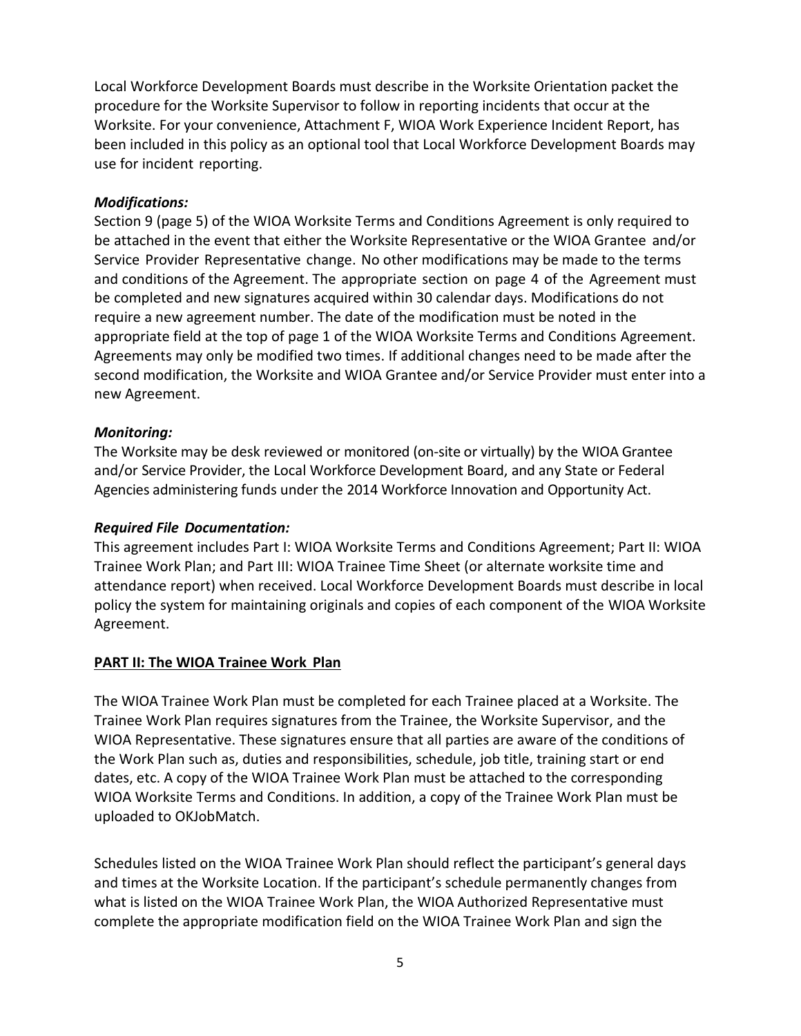Local Workforce Development Boards must describe in the Worksite Orientation packet the procedure for the Worksite Supervisor to follow in reporting incidents that occur at the Worksite. For your convenience, Attachment F, WIOA Work Experience Incident Report, has been included in this policy as an optional tool that Local Workforce Development Boards may use for incident reporting.

#### *Modifications:*

Section 9 (page 5) of the WIOA Worksite Terms and Conditions Agreement is only required to be attached in the event that either the Worksite Representative or the WIOA Grantee and/or Service Provider Representative change. No other modifications may be made to the terms and conditions of the Agreement. The appropriate section on page 4 of the Agreement must be completed and new signatures acquired within 30 calendar days. Modifications do not require a new agreement number. The date of the modification must be noted in the appropriate field at the top of page 1 of the WIOA Worksite Terms and Conditions Agreement. Agreements may only be modified two times. If additional changes need to be made after the second modification, the Worksite and WIOA Grantee and/or Service Provider must enter into a new Agreement.

#### *Monitoring:*

The Worksite may be desk reviewed or monitored (on-site or virtually) by the WIOA Grantee and/or Service Provider, the Local Workforce Development Board, and any State or Federal Agencies administering funds under the 2014 Workforce Innovation and Opportunity Act.

## *Required File Documentation:*

This agreement includes Part I: WIOA Worksite Terms and Conditions Agreement; Part II: WIOA Trainee Work Plan; and Part III: WIOA Trainee Time Sheet (or alternate worksite time and attendance report) when received. Local Workforce Development Boards must describe in local policy the system for maintaining originals and copies of each component of the WIOA Worksite Agreement.

## **PART II: The WIOA Trainee Work Plan**

The WIOA Trainee Work Plan must be completed for each Trainee placed at a Worksite. The Trainee Work Plan requires signatures from the Trainee, the Worksite Supervisor, and the WIOA Representative. These signatures ensure that all parties are aware of the conditions of the Work Plan such as, duties and responsibilities, schedule, job title, training start or end dates, etc. A copy of the WIOA Trainee Work Plan must be attached to the corresponding WIOA Worksite Terms and Conditions. In addition, a copy of the Trainee Work Plan must be uploaded to OKJobMatch.

Schedules listed on the WIOA Trainee Work Plan should reflect the participant's general days and times at the Worksite Location. If the participant's schedule permanently changes from what is listed on the WIOA Trainee Work Plan, the WIOA Authorized Representative must complete the appropriate modification field on the WIOA Trainee Work Plan and sign the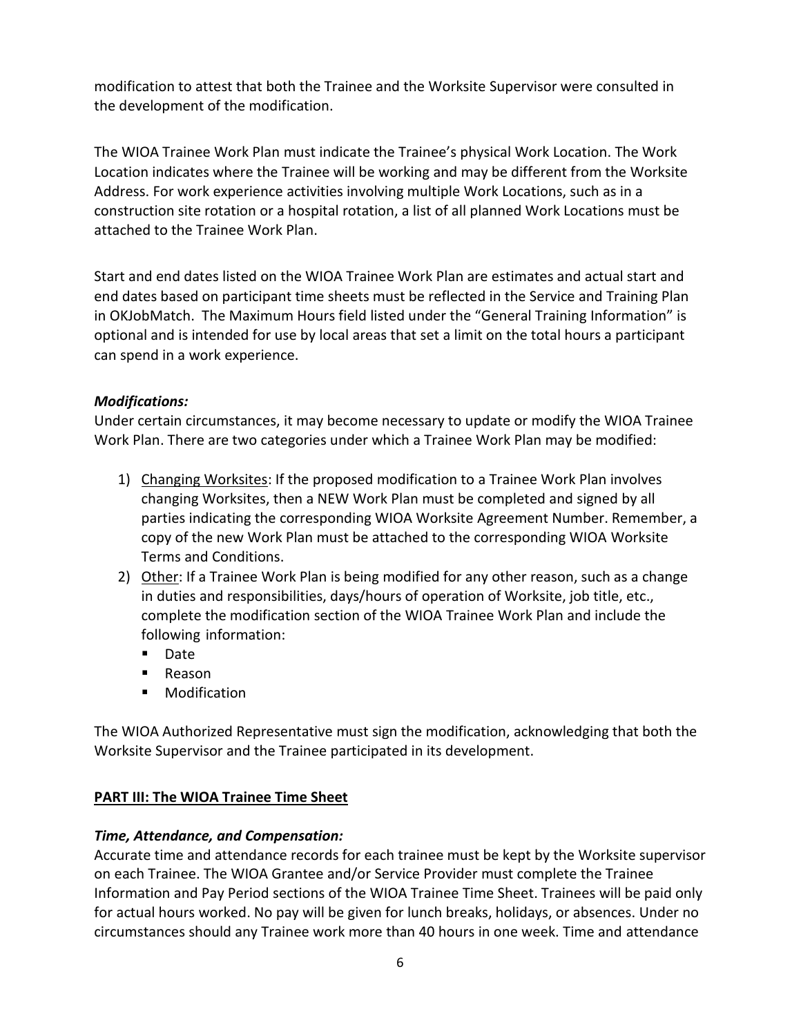modification to attest that both the Trainee and the Worksite Supervisor were consulted in the development of the modification.

The WIOA Trainee Work Plan must indicate the Trainee's physical Work Location. The Work Location indicates where the Trainee will be working and may be different from the Worksite Address. For work experience activities involving multiple Work Locations, such as in a construction site rotation or a hospital rotation, a list of all planned Work Locations must be attached to the Trainee Work Plan.

Start and end dates listed on the WIOA Trainee Work Plan are estimates and actual start and end dates based on participant time sheets must be reflected in the Service and Training Plan in OKJobMatch. The Maximum Hours field listed under the "General Training Information" is optional and is intended for use by local areas that set a limit on the total hours a participant can spend in a work experience.

## *Modifications:*

Under certain circumstances, it may become necessary to update or modify the WIOA Trainee Work Plan. There are two categories under which a Trainee Work Plan may be modified:

- 1) Changing Worksites: If the proposed modification to a Trainee Work Plan involves changing Worksites, then a NEW Work Plan must be completed and signed by all parties indicating the corresponding WIOA Worksite Agreement Number. Remember, a copy of the new Work Plan must be attached to the corresponding WIOA Worksite Terms and Conditions.
- 2) Other: If a Trainee Work Plan is being modified for any other reason, such as a change in duties and responsibilities, days/hours of operation of Worksite, job title, etc., complete the modification section of the WIOA Trainee Work Plan and include the following information:
	- **Date**
	- Reason
	- **•** Modification

The WIOA Authorized Representative must sign the modification, acknowledging that both the Worksite Supervisor and the Trainee participated in its development.

## **PART III: The WIOA Trainee Time Sheet**

#### *Time, Attendance, and Compensation:*

Accurate time and attendance records for each trainee must be kept by the Worksite supervisor on each Trainee. The WIOA Grantee and/or Service Provider must complete the Trainee Information and Pay Period sections of the WIOA Trainee Time Sheet. Trainees will be paid only for actual hours worked. No pay will be given for lunch breaks, holidays, or absences. Under no circumstances should any Trainee work more than 40 hours in one week. Time and attendance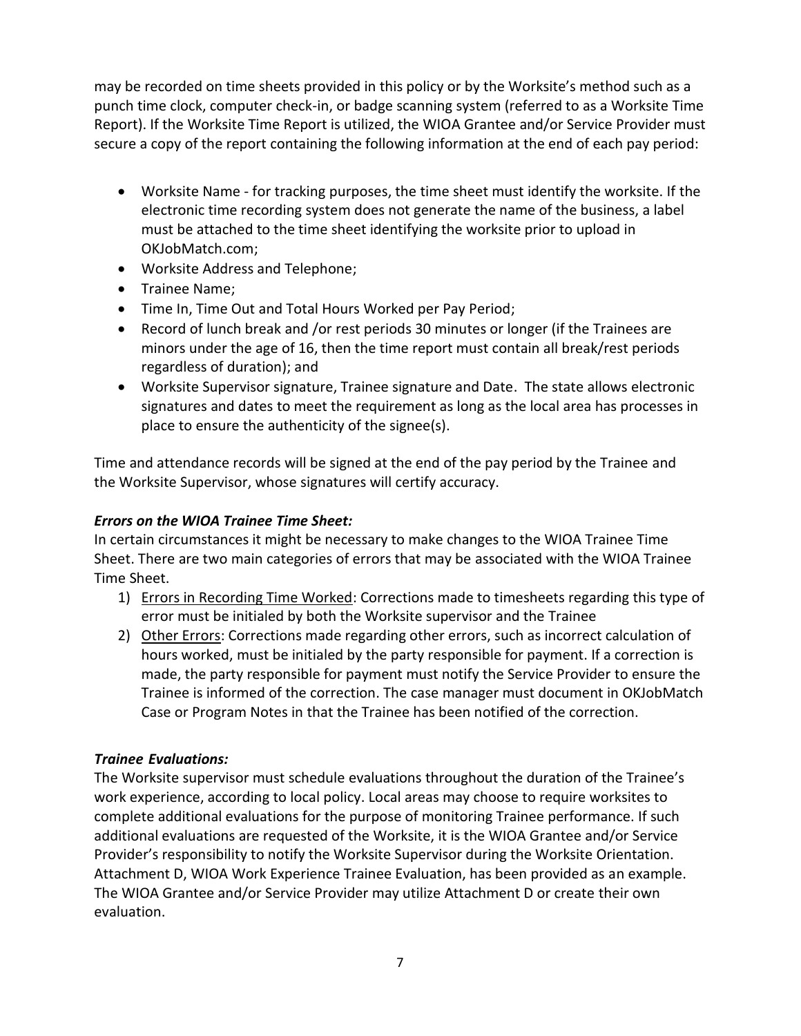may be recorded on time sheets provided in this policy or by the Worksite's method such as a punch time clock, computer check-in, or badge scanning system (referred to as a Worksite Time Report). If the Worksite Time Report is utilized, the WIOA Grantee and/or Service Provider must secure a copy of the report containing the following information at the end of each pay period:

- Worksite Name for tracking purposes, the time sheet must identify the worksite. If the electronic time recording system does not generate the name of the business, a label must be attached to the time sheet identifying the worksite prior to upload in OKJobMatch.com;
- Worksite Address and Telephone;
- Trainee Name;
- Time In, Time Out and Total Hours Worked per Pay Period;
- Record of lunch break and /or rest periods 30 minutes or longer (if the Trainees are minors under the age of 16, then the time report must contain all break/rest periods regardless of duration); and
- Worksite Supervisor signature, Trainee signature and Date. The state allows electronic signatures and dates to meet the requirement as long as the local area has processes in place to ensure the authenticity of the signee(s).

Time and attendance records will be signed at the end of the pay period by the Trainee and the Worksite Supervisor, whose signatures will certify accuracy.

## *Errors on the WIOA Trainee Time Sheet:*

In certain circumstances it might be necessary to make changes to the WIOA Trainee Time Sheet. There are two main categories of errors that may be associated with the WIOA Trainee Time Sheet.

- 1) Errors in Recording Time Worked: Corrections made to timesheets regarding this type of error must be initialed by both the Worksite supervisor and the Trainee
- 2) Other Errors: Corrections made regarding other errors, such as incorrect calculation of hours worked, must be initialed by the party responsible for payment. If a correction is made, the party responsible for payment must notify the Service Provider to ensure the Trainee is informed of the correction. The case manager must document in OKJobMatch Case or Program Notes in that the Trainee has been notified of the correction.

## *Trainee Evaluations:*

The Worksite supervisor must schedule evaluations throughout the duration of the Trainee's work experience, according to local policy. Local areas may choose to require worksites to complete additional evaluations for the purpose of monitoring Trainee performance. If such additional evaluations are requested of the Worksite, it is the WIOA Grantee and/or Service Provider's responsibility to notify the Worksite Supervisor during the Worksite Orientation. Attachment D, WIOA Work Experience Trainee Evaluation, has been provided as an example. The WIOA Grantee and/or Service Provider may utilize Attachment D or create their own evaluation.